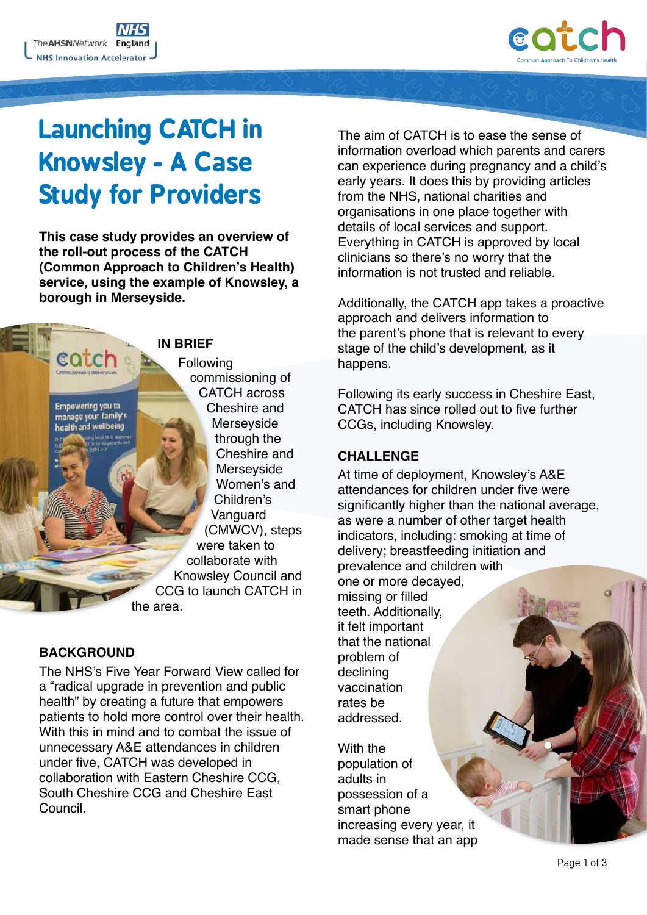

# **Launching CATCH in Knowsley - A Case Study for Providers**

**This case study provides an overview of the roll-out process of the CATCH (Common Approach to Children's Health) service, using the example of Knowsley, a borough in Merseyside.**

# **IN BRIEF**

**Following** commissioning of CATCH across Cheshire and Merseyside through the Cheshire and Merseyside Women's and Children's Vanguard (CMWCV), steps were taken to collaborate with Knowsley Council and CCG to launch CATCH in the area.

# **BACKGROUND**

cotch

**Empowering you to** manage your family's health and wellbeing

The NHS's Five Year Forward View called for a "radical upgrade in prevention and public health" by creating a future that empowers patients to hold more control over their health. With this in mind and to combat the issue of unnecessary A&E attendances in children under five, CATCH was developed in collaboration with Eastern Cheshire CCG, South Cheshire CCG and Cheshire East Council.

The aim of CATCH is to ease the sense of information overload which parents and carers can experience during pregnancy and a child's early years. It does this by providing articles from the NHS, national charities and organisations in one place together with details of local services and support. Everything in CATCH is approved by local clinicians so there's no worry that the information is not trusted and reliable.

Additionally, the CATCH app takes a proactive approach and delivers information to the parent's phone that is relevant to every stage of the child's development, as it happens.

Following its early success in Cheshire East, CATCH has since rolled out to five further CCGs, including Knowsley.

## **CHALLENGE**

At time of deployment, Knowsley's A&E attendances for children under five were significantly higher than the national average, as were a number of other target health indicators, including: smoking at time of delivery; breastfeeding initiation and prevalence and children with one or more decayed, missing or filled teeth. Additionally, it felt important that the national problem of declining

vaccination rates be addressed.

With the population of adults in possession of a smart phone increasing every year, it made sense that an app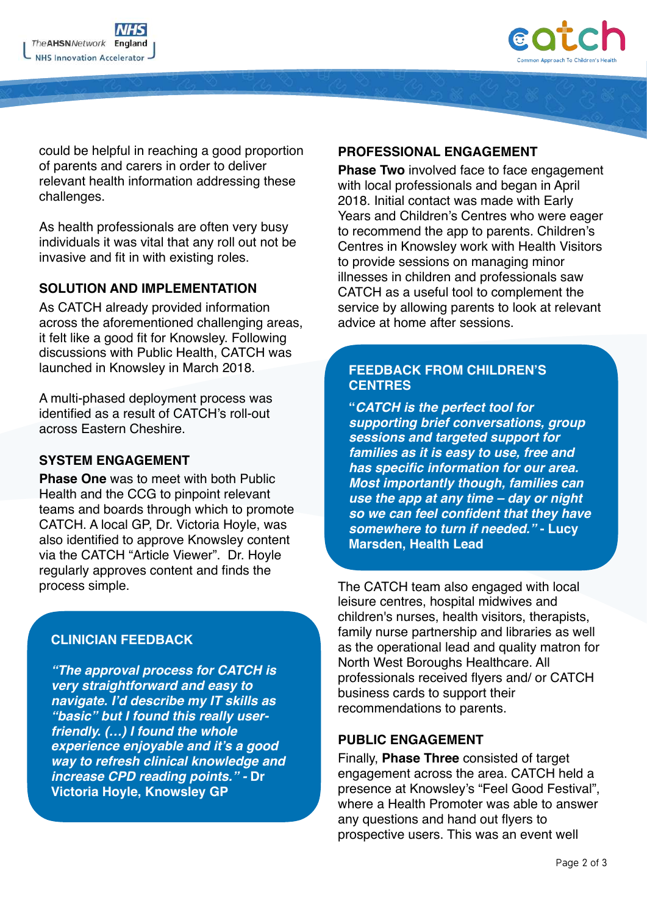

could be helpful in reaching a good proportion of parents and carers in order to deliver relevant health information addressing these challenges.

As health professionals are often very busy individuals it was vital that any roll out not be invasive and fit in with existing roles.

#### **SOLUTION AND IMPLEMENTATION**

As CATCH already provided information across the aforementioned challenging areas, it felt like a good fit for Knowsley. Following discussions with Public Health, CATCH was launched in Knowsley in March 2018.

A multi-phased deployment process was identified as a result of CATCH's roll-out across Eastern Cheshire.

#### **SYSTEM ENGAGEMENT**

**Phase One** was to meet with both Public Health and the CCG to pinpoint relevant teams and boards through which to promote CATCH. A local GP, Dr. Victoria Hoyle, was also identified to approve Knowsley content via the CATCH "Article Viewer". Dr. Hoyle regularly approves content and finds the process simple.

### **CLINICIAN FEEDBACK**

*"The approval process for CATCH is very straightforward and easy to navigate. I'd describe my IT skills as "basic" but I found this really userfriendly. (…) I found the whole experience enjoyable and it's a good way to refresh clinical knowledge and increase CPD reading points." -* **Dr Victoria Hoyle, Knowsley GP**

### **PROFESSIONAL ENGAGEMENT**

**Phase Two** involved face to face engagement with local professionals and began in April 2018. Initial contact was made with Early Years and Children's Centres who were eager to recommend the app to parents. Children's Centres in Knowsley work with Health Visitors to provide sessions on managing minor illnesses in children and professionals saw CATCH as a useful tool to complement the service by allowing parents to look at relevant advice at home after sessions.

## **FEEDBACK FROM CHILDREN'S CENTRES**

**"***CATCH is the perfect tool for supporting brief conversations, group sessions and targeted support for families as it is easy to use, free and has specific information for our area. Most importantly though, families can use the app at any time – day or night so we can feel confident that they have somewhere to turn if needed."* **- Lucy Marsden, Health Lead**

The CATCH team also engaged with local leisure centres, hospital midwives and children's nurses, health visitors, therapists, family nurse partnership and libraries as well as the operational lead and quality matron for North West Boroughs Healthcare. All professionals received flyers and/ or CATCH business cards to support their recommendations to parents.

### **PUBLIC ENGAGEMENT**

Finally, **Phase Three** consisted of target engagement across the area. CATCH held a presence at Knowsley's "Feel Good Festival", where a Health Promoter was able to answer any questions and hand out flyers to prospective users. This was an event well